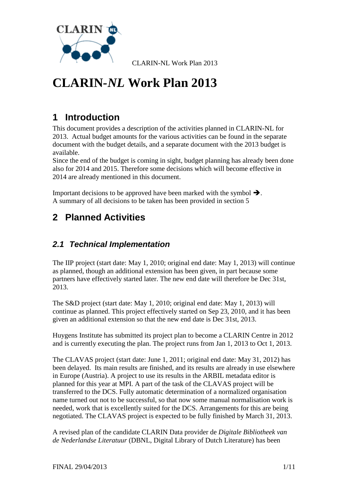

# **CLARIN***-NL* **Work Plan 2013**

# **1 Introduction**

This document provides a description of the activities planned in CLARIN-NL for 2013. Actual budget amounts for the various activities can be found in the separate document with the budget details, and a separate document with the 2013 budget is available.

Since the end of the budget is coming in sight, budget planning has already been done also for 2014 and 2015. Therefore some decisions which will become effective in 2014 are already mentioned in this document.

Important decisions to be approved have been marked with the symbol  $\rightarrow$ . A summary of all decisions to be taken has been provided in section [5](#page-9-0)

# **2 Planned Activities**

# *2.1 Technical Implementation*

The IIP project (start date: May 1, 2010; original end date: May 1, 2013) will continue as planned, though an additional extension has been given, in part because some partners have effectively started later. The new end date will therefore be Dec 31st, 2013.

The S&D project (start date: May 1, 2010; original end date: May 1, 2013) will continue as planned. This project effectively started on Sep 23, 2010, and it has been given an additional extension so that the new end date is Dec 31st, 2013.

Huygens Institute has submitted its project plan to become a CLARIN Centre in 2012 and is currently executing the plan. The project runs from Jan 1, 2013 to Oct 1, 2013.

The CLAVAS project (start date: June 1, 2011; original end date: May 31, 2012) has been delayed. Its main results are finished, and its results are already in use elsewhere in Europe (Austria). A project to use its results in the ARBIL metadata editor is planned for this year at MPI. A part of the task of the CLAVAS project will be transferred to the DCS. Fully automatic determination of a normalized organisation name turned out not to be successful, so that now some manual normalisation work is needed, work that is excellently suited for the DCS. Arrangements for this are being negotiated. The CLAVAS project is expected to be fully finished by March 31, 2013.

A revised plan of the candidate CLARIN Data provider de *Digitale Bibliotheek van de Nederlandse Literatuur* (DBNL, Digital Library of Dutch Literature) has been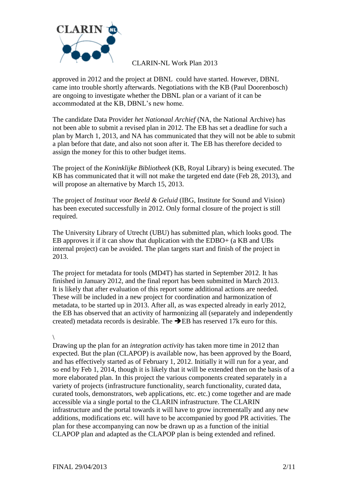

approved in 2012 and the project at DBNL could have started. However, DBNL came into trouble shortly afterwards. Negotiations with the KB (Paul Doorenbosch) are ongoing to investigate whether the DBNL plan or a variant of it can be accommodated at the KB, DBNL's new home.

The candidate Data Provider *het Nationaal Archief* (NA, the National Archive) has not been able to submit a revised plan in 2012. The EB has set a deadline for such a plan by March 1, 2013, and NA has communicated that they will not be able to submit a plan before that date, and also not soon after it. The EB has therefore decided to assign the money for this to other budget items.

The project of the *Koninklijke Bibliotheek* (KB, Royal Library) is being executed. The KB has communicated that it will not make the targeted end date (Feb 28, 2013), and will propose an alternative by March 15, 2013.

The project of *Instituut voor Beeld & Geluid* (IBG, Institute for Sound and Vision) has been executed successfully in 2012. Only formal closure of the project is still required.

The University Library of Utrecht (UBU) has submitted plan, which looks good. The EB approves it if it can show that duplication with the EDBO+ (a KB and UBs internal project) can be avoided. The plan targets start and finish of the project in 2013.

The project for metadata for tools (MD4T) has started in September 2012. It has finished in January 2012, and the final report has been submitted in March 2013. It is likely that after evaluation of this report some additional actions are needed. These will be included in a new project for coordination and harmonization of metadata, to be started up in 2013. After all, as was expected already in early 2012, the EB has observed that an activity of harmonizing all (separately and independently created) metadata records is desirable. The  $\rightarrow$ EB has reserved 17k euro for this.

#### \

Drawing up the plan for an *integration activity* has taken more time in 2012 than expected. But the plan (CLAPOP) is available now, has been approved by the Board, and has effectively started as of February 1, 2012. Initially it will run for a year, and so end by Feb 1, 2014, though it is likely that it will be extended then on the basis of a more elaborated plan. In this project the various components created separately in a variety of projects (infrastructure functionality, search functionality, curated data, curated tools, demonstrators, web applications, etc. etc.) come together and are made accessible via a single portal to the CLARIN infrastructure. The CLARIN infrastructure and the portal towards it will have to grow incrementally and any new additions, modifications etc. will have to be accompanied by good PR activities. The plan for these accompanying can now be drawn up as a function of the initial CLAPOP plan and adapted as the CLAPOP plan is being extended and refined.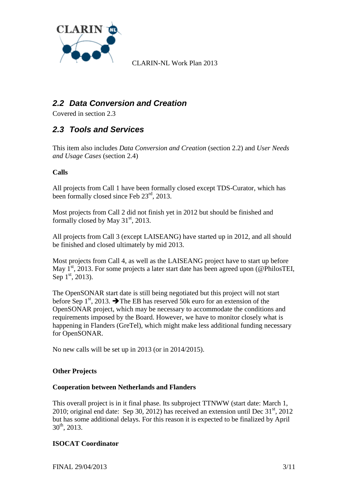

# <span id="page-2-1"></span>*2.2 Data Conversion and Creation*

Covered in section [2.3](#page-2-0)

### <span id="page-2-0"></span>*2.3 Tools and Services*

This item also includes *Data Conversion and Creation* (section [2.2\)](#page-2-1) and *User Needs and Usage Cases* (section [2.4\)](#page-3-0)

#### **Calls**

All projects from Call 1 have been formally closed except TDS-Curator, which has been formally closed since Feb  $23<sup>rd</sup>$ , 2013.

Most projects from Call 2 did not finish yet in 2012 but should be finished and formally closed by May  $31<sup>st</sup>$ , 2013.

All projects from Call 3 (except LAISEANG) have started up in 2012, and all should be finished and closed ultimately by mid 2013.

Most projects from Call 4, as well as the LAISEANG project have to start up before May  $1^{st}$ , 2013. For some projects a later start date has been agreed upon (@PhilosTEI, Sep  $1^{\text{st}}$ , 2013).

The OpenSONAR start date is still being negotiated but this project will not start before Sep  $1<sup>st</sup>$ , 2013.  $\rightarrow$  The EB has reserved 50k euro for an extension of the OpenSONAR project, which may be necessary to accommodate the conditions and requirements imposed by the Board. However, we have to monitor closely what is happening in Flanders (GreTel), which might make less additional funding necessary for OpenSONAR.

No new calls will be set up in 2013 (or in 2014/2015).

#### **Other Projects**

#### **Cooperation between Netherlands and Flanders**

This overall project is in it final phase. Its subproject TTNWW (start date: March 1, 2010; original end date: Sep 30, 2012) has received an extension until Dec  $31<sup>st</sup>$ , 2012 but has some additional delays. For this reason it is expected to be finalized by April  $30^{th}$ , 2013.

#### **ISOCAT Coordinator**

FINAL 29/04/2013 3/11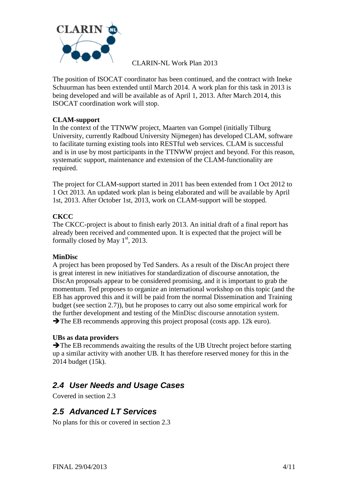

The position of ISOCAT coordinator has been continued, and the contract with Ineke Schuurman has been extended until March 2014. A work plan for this task in 2013 is being developed and will be available as of April 1, 2013. After March 2014, this ISOCAT coordination work will stop.

#### **CLAM-support**

In the context of the TTNWW project, Maarten van Gompel (initially Tilburg University, currently Radboud University Nijmegen) has developed CLAM, software to facilitate turning existing tools into RESTful web services. CLAM is successful and is in use by most participants in the TTNWW project and beyond. For this reason, systematic support, maintenance and extension of the CLAM-functionality are required.

The project for CLAM-support started in 2011 has been extended from 1 Oct 2012 to 1 Oct 2013. An updated work plan is being elaborated and will be available by April 1st, 2013. After October 1st, 2013, work on CLAM-support will be stopped.

#### **CKCC**

The CKCC-project is about to finish early 2013. An initial draft of a final report has already been received and commented upon. It is expected that the project will be formally closed by May  $1<sup>st</sup>$ , 2013.

#### **MinDisc**

A project has been proposed by Ted Sanders. As a result of the DiscAn project there is great interest in new initiatives for standardization of discourse annotation, the DiscAn proposals appear to be considered promising, and it is important to grab the momentum. Ted proposes to organize an international workshop on this topic (and the EB has approved this and it will be paid from the normal Dissemination and Training budget (see section [2.7\)](#page-4-0)), but he proposes to carry out also some empirical work for the further development and testing of the MinDisc discourse annotation system.  $\rightarrow$  The EB recommends approving this project proposal (costs app. 12k euro).

#### **UBs as data providers**

 $\rightarrow$  The EB recommends awaiting the results of the UB Utrecht project before starting up a similar activity with another UB. It has therefore reserved money for this in the 2014 budget (15k).

### <span id="page-3-0"></span>*2.4 User Needs and Usage Cases*

Covered in section [2.3](#page-2-0)

### *2.5 Advanced LT Services*

No plans for this or covered in section [2.3](#page-2-0)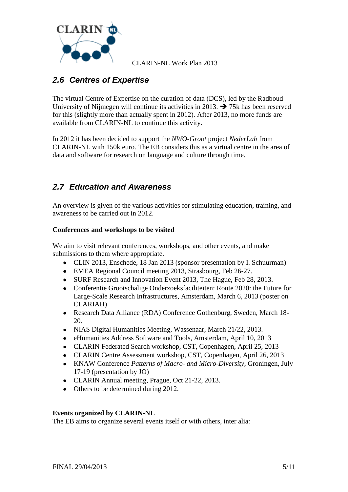

# *2.6 Centres of Expertise*

The virtual Centre of Expertise on the curation of data (DCS), led by the Radboud University of Nijmegen will continue its activities in 2013.  $\rightarrow$  75k has been reserved for this (slightly more than actually spent in 2012). After 2013, no more funds are available from CLARIN-NL to continue this activity.

In 2012 it has been decided to support the *NWO-Groot* project *NederLab* from CLARIN-NL with 150k euro. The EB considers this as a virtual centre in the area of data and software for research on language and culture through time.

### <span id="page-4-0"></span>*2.7 Education and Awareness*

An overview is given of the various activities for stimulating education, training, and awareness to be carried out in 2012.

#### **Conferences and workshops to be visited**

We aim to visit relevant conferences, workshops, and other events, and make submissions to them where appropriate.

- CLIN 2013, Enschede, 18 Jan 2013 (sponsor presentation by I. Schuurman)
- EMEA Regional Council meeting 2013, Strasbourg, Feb 26-27.
- SURF Research and Innovation Event 2013, The Hague, Feb 28, 2013.
- Conferentie Grootschalige Onderzoeksfaciliteiten: Route 2020: the Future for Large-Scale Research Infrastructures, Amsterdam, March 6, 2013 (poster on CLARIAH)
- Research Data Alliance (RDA) Conference Gothenburg, Sweden, March 18- 20.
- NIAS Digital Humanities Meeting, Wassenaar, March 21/22, 2013.
- eHumanities Address Software and Tools, Amsterdam, April 10, 2013  $\bullet$
- CLARIN Federated Search workshop, CST, Copenhagen, April 25, 2013
- CLARIN Centre Assessment workshop, CST, Copenhagen, April 26, 2013
- KNAW Conference *Patterns of Macro- and Micro-Diversity*, Groningen, July 17-19 (presentation by JO)
- CLARIN Annual meeting, Prague, Oct 21-22, 2013.
- Others to be determined during 2012.

#### **Events organized by CLARIN-NL**

The EB aims to organize several events itself or with others, inter alia: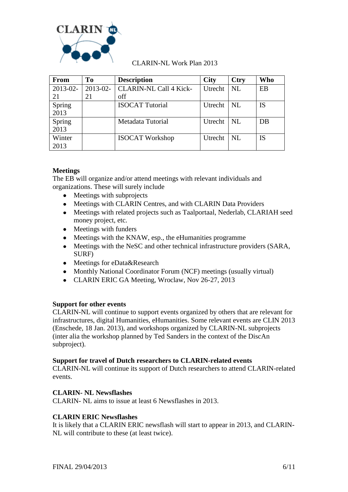

| <b>From</b> | T <sub>0</sub> | <b>Description</b>            | <b>City</b>  | <b>Ctry</b>                 | <b>Who</b> |
|-------------|----------------|-------------------------------|--------------|-----------------------------|------------|
| 2013-02-    | $2013 - 02$    | <b>CLARIN-NL Call 4 Kick-</b> | Utrecht      | $\overline{\phantom{a}}$ NL | EB         |
| 21          | 21             | off                           |              |                             |            |
| Spring      |                | <b>ISOCAT Tutorial</b>        | Utrecht   NL |                             | IS         |
| 2013        |                |                               |              |                             |            |
| Spring      |                | Metadata Tutorial             | Utrecht   NL |                             | DB         |
| 2013        |                |                               |              |                             |            |
| Winter      |                | <b>ISOCAT Workshop</b>        | Utrecht      | NL                          | IS         |
| 2013        |                |                               |              |                             |            |

#### **Meetings**

The EB will organize and/or attend meetings with relevant individuals and organizations. These will surely include

- Meetings with subprojects
- Meetings with CLARIN Centres, and with CLARIN Data Providers
- Meetings with related projects such as Taalportaal, Nederlab, CLARIAH seed money project, etc.
- Meetings with funders
- Meetings with the KNAW, esp., the eHumanities programme  $\bullet$
- $\bullet$ Meetings with the NeSC and other technical infrastructure providers (SARA, SURF)
- Meetings for eData&Research
- Monthly National Coordinator Forum (NCF) meetings (usually virtual)
- CLARIN ERIC GA Meeting, Wroclaw, Nov 26-27, 2013

#### **Support for other events**

CLARIN-NL will continue to support events organized by others that are relevant for infrastructures, digital Humanities, eHumanities. Some relevant events are CLIN 2013 (Enschede, 18 Jan. 2013), and workshops organized by CLARIN-NL subprojects (inter alia the workshop planned by Ted Sanders in the context of the DiscAn subproject).

#### **Support for travel of Dutch researchers to CLARIN-related events**

CLARIN-NL will continue its support of Dutch researchers to attend CLARIN-related events.

#### **CLARIN- NL Newsflashes**

CLARIN- NL aims to issue at least 6 Newsflashes in 2013.

#### **CLARIN ERIC Newsflashes**

It is likely that a CLARIN ERIC newsflash will start to appear in 2013, and CLARIN-NL will contribute to these (at least twice).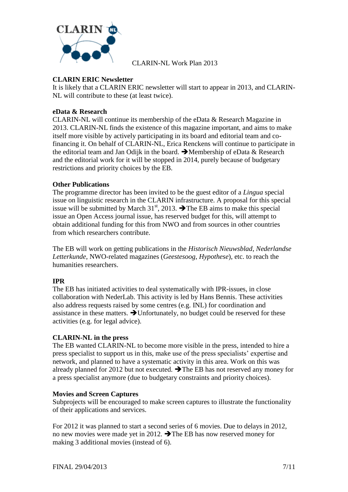

#### **CLARIN ERIC Newsletter**

It is likely that a CLARIN ERIC newsletter will start to appear in 2013, and CLARIN-NL will contribute to these (at least twice).

#### **eData & Research**

CLARIN-NL will continue its membership of the eData & Research Magazine in 2013. CLARIN-NL finds the existence of this magazine important, and aims to make itself more visible by actively participating in its board and editorial team and cofinancing it. On behalf of CLARIN-NL, Erica Renckens will continue to participate in the editorial team and Jan Odijk in the board.  $\rightarrow$  Membership of eData & Research and the editorial work for it will be stopped in 2014, purely because of budgetary restrictions and priority choices by the EB.

#### **Other Publications**

The programme director has been invited to be the guest editor of a *Lingua* special issue on linguistic research in the CLARIN infrastructure. A proposal for this special issue will be submitted by March 31<sup>st</sup>, 2013.  $\rightarrow$  The EB aims to make this special issue an Open Access journal issue, has reserved budget for this, will attempt to obtain additional funding for this from NWO and from sources in other countries from which researchers contribute.

The EB will work on getting publications in the *Historisch Nieuwsblad*, *Nederlandse Letterkunde*, NWO-related magazines (*Geestesoog*, *Hypothese*), etc. to reach the humanities researchers.

#### **IPR**

The EB has initiated activities to deal systematically with IPR-issues, in close collaboration with NederLab. This activity is led by Hans Bennis. These activities also address requests raised by some centres (e.g. INL) for coordination and assistance in these matters.  $\rightarrow$  Unfortunately, no budget could be reserved for these activities (e.g. for legal advice).

#### **CLARIN-NL in the press**

The EB wanted CLARIN-NL to become more visible in the press, intended to hire a press specialist to support us in this, make use of the press specialists' expertise and network, and planned to have a systematic activity in this area. Work on this was already planned for 2012 but not executed.  $\rightarrow$  The EB has not reserved any money for a press specialist anymore (due to budgetary constraints and priority choices).

#### **Movies and Screen Captures**

Subprojects will be encouraged to make screen captures to illustrate the functionality of their applications and services.

For 2012 it was planned to start a second series of 6 movies. Due to delays in 2012, no new movies were made yet in 2012.  $\rightarrow$  The EB has now reserved money for making 3 additional movies (instead of 6).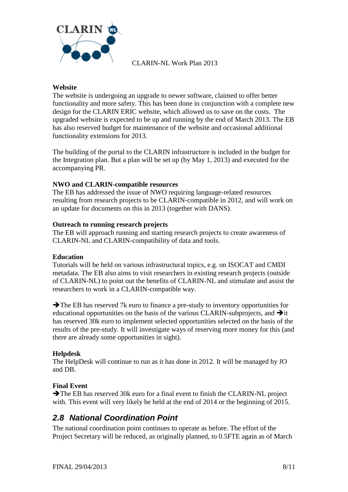

#### **Website**

The website is undergoing an upgrade to newer software, claimed to offer better functionality and more safety. This has been done in conjunction with a complete new design for the CLARIN ERIC website, which allowed us to save on the costs. The upgraded website is expected to be up and running by the end of March 2013. The EB has also reserved budget for maintenance of the website and occasional additional functionality extensions for 2013.

The building of the portal to the CLARIN infrastructure is included in the budget for the Integration plan. But a plan will be set up (by May 1, 2013) and executed for the accompanying PR.

#### **NWO and CLARIN-compatible resources**

The EB has addressed the issue of NWO requiring language-related resources resulting from research projects to be CLARIN-compatible in 2012, and will work on an update for documents on this in 2013 (together with DANS).

#### **Outreach to running research projects**

The EB will approach running and starting research projects to create awareness of CLARIN-NL and CLARIN-compatibility of data and tools.

#### **Education**

Tutorials will be held on various infrastructural topics, e.g. on ISOCAT and CMDI metadata. The EB also aims to visit researchers in existing research projects (outside of CLARIN-NL) to point out the benefits of CLARIN-NL and stimulate and assist the researchers to work in a CLARIN-compatible way.

 $\rightarrow$  The EB has reserved 7k euro to finance a pre-study to inventory opportunities for educational opportunities on the basis of the various CLARIN-subprojects, and  $\rightarrow$  it has reserved 30k euro to implement selected opportunities selected on the basis of the results of the pre-study. It will investigate ways of reserving more money for this (and there are already some opportunities in sight).

#### **Helpdesk**

The HelpDesk will continue to run as it has done in 2012. It will be managed by JO and DB.

#### **Final Event**

The EB has reserved 30k euro for a final event to finish the CLARIN-NL project with. This event will very likely be held at the end of 2014 or the beginning of 2015.

### *2.8 National Coordination Point*

The national coordination point continues to operate as before. The effort of the Project Secretary will be reduced, as originally planned, to 0.5FTE again as of March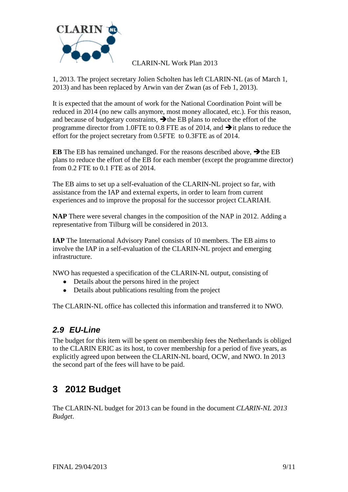

1, 2013. The project secretary Jolien Scholten has left CLARIN-NL (as of March 1, 2013) and has been replaced by Arwin van der Zwan (as of Feb 1, 2013).

It is expected that the amount of work for the National Coordination Point will be reduced in 2014 (no new calls anymore, most money allocated, etc.). For this reason, and because of budgetary constraints,  $\rightarrow$  the EB plans to reduce the effort of the programme director from 1.0FTE to 0.8 FTE as of 2014, and  $\rightarrow$  it plans to reduce the effort for the project secretary from 0.5FTE to 0.3FTE as of 2014.

**EB** The EB has remained unchanged. For the reasons described above,  $\rightarrow$  the EB plans to reduce the effort of the EB for each member (except the programme director) from 0.2 FTE to 0.1 FTE as of 2014.

The EB aims to set up a self-evaluation of the CLARIN-NL project so far, with assistance from the IAP and external experts, in order to learn from current experiences and to improve the proposal for the successor project CLARIAH.

**NAP** There were several changes in the composition of the NAP in 2012. Adding a representative from Tilburg will be considered in 2013.

**IAP** The International Advisory Panel consists of 10 members. The EB aims to involve the IAP in a self-evaluation of the CLARIN-NL project and emerging infrastructure.

NWO has requested a specification of the CLARIN-NL output, consisting of

- Details about the persons hired in the project
- Details about publications resulting from the project

The CLARIN-NL office has collected this information and transferred it to NWO.

# *2.9 EU-Line*

The budget for this item will be spent on membership fees the Netherlands is obliged to the CLARIN ERIC as its host, to cover membership for a period of five years, as explicitly agreed upon between the CLARIN-NL board, OCW, and NWO. In 2013 the second part of the fees will have to be paid.

# **3 2012 Budget**

The CLARIN-NL budget for 2013 can be found in the document *CLARIN-NL 2013 Budget*.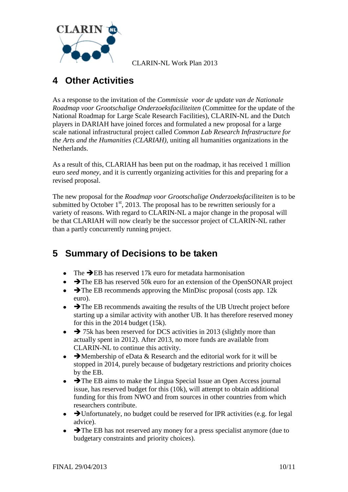

# **4 Other Activities**

As a response to the invitation of the *Commissie voor de update van de Nationale Roadmap voor Grootschalige Onderzoeksfaciliteiten* (Committee for the update of the National Roadmap for Large Scale Research Facilities), CLARIN-NL and the Dutch players in DARIAH have joined forces and formulated a new proposal for a large scale national infrastructural project called *Common Lab Research Infrastructure for the Arts and the Humanities (CLARIAH)*, uniting all humanities organizations in the Netherlands.

As a result of this, CLARIAH has been put on the roadmap, it has received 1 million euro *seed money*, and it is currently organizing activities for this and preparing for a revised proposal.

The new proposal for the *Roadmap voor Grootschalige Onderzoeksfaciliteiten* is to be submitted by October  $1<sup>st</sup>$ , 2013. The proposal has to be rewritten seriously for a variety of reasons. With regard to CLARIN-NL a major change in the proposal will be that CLARIAH will now clearly be the successor project of CLARIN-NL rather than a partly concurrently running project.

# <span id="page-9-0"></span>**5 Summary of Decisions to be taken**

- The  $\rightarrow$  EB has reserved 17k euro for metadata harmonisation
- $\rightarrow$  The EB has reserved 50k euro for an extension of the OpenSONAR project
- $\bullet\quad \blacktriangleright$  The EB recommends approving the MinDisc proposal (costs app. 12k euro).
- $\bullet$   $\rightarrow$  The EB recommends awaiting the results of the UB Utrecht project before starting up a similar activity with another UB. It has therefore reserved money for this in the 2014 budget (15k).
- $\rightarrow$  75k has been reserved for DCS activities in 2013 (slightly more than actually spent in 2012). After 2013, no more funds are available from CLARIN-NL to continue this activity.
- Membership of eData & Research and the editorial work for it will be  $\bullet$ stopped in 2014, purely because of budgetary restrictions and priority choices by the EB.
- $\rightarrow$  The EB aims to make the Lingua Special Issue an Open Access journal issue, has reserved budget for this (10k), will attempt to obtain additional funding for this from NWO and from sources in other countries from which researchers contribute.
- $\rightarrow$  Unfortunately, no budget could be reserved for IPR activities (e.g. for legal advice).
- $\bullet$   $\rightarrow$  The EB has not reserved any money for a press specialist anymore (due to budgetary constraints and priority choices).